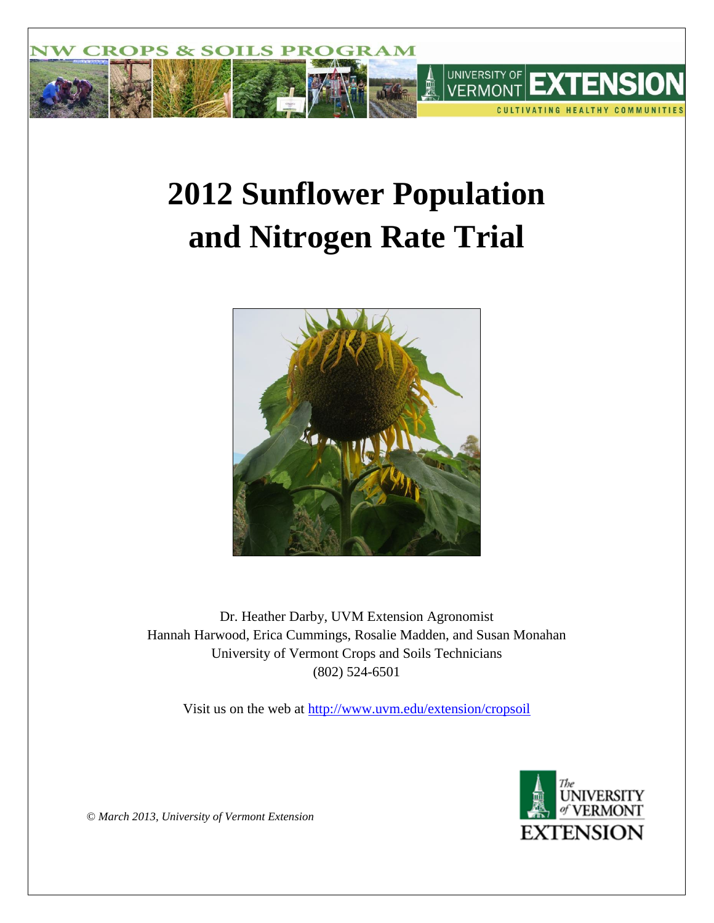

# **2012 Sunflower Population and Nitrogen Rate Trial**



Dr. Heather Darby, UVM Extension Agronomist Hannah Harwood, Erica Cummings, Rosalie Madden, and Susan Monahan University of Vermont Crops and Soils Technicians (802) 524-6501

Visit us on the web at<http://www.uvm.edu/extension/cropsoil>



*© March 2013, University of Vermont Extension*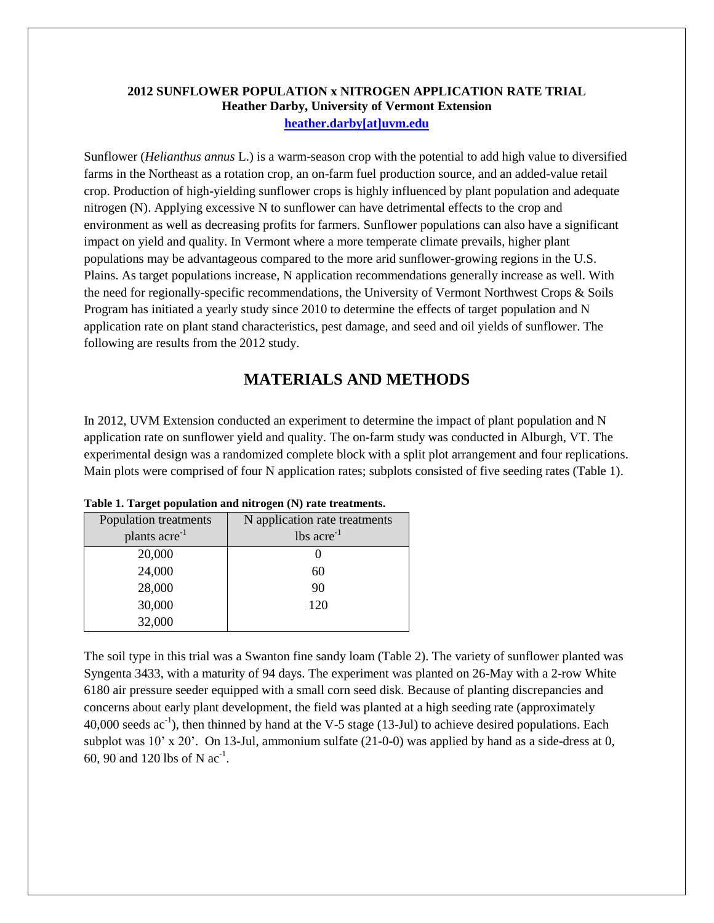# **2012 SUNFLOWER POPULATION x NITROGEN APPLICATION RATE TRIAL Heather Darby, University of Vermont Extension [heather.darby\[at\]uvm.edu](mailto:Heather.Darby@uvm.edu?subject=2012%20Sunflower%20Pop%20x%20N%20Rate%20Trial)**

Sunflower (*Helianthus annus* L.) is a warm-season crop with the potential to add high value to diversified farms in the Northeast as a rotation crop, an on-farm fuel production source, and an added-value retail crop. Production of high-yielding sunflower crops is highly influenced by plant population and adequate nitrogen (N). Applying excessive N to sunflower can have detrimental effects to the crop and environment as well as decreasing profits for farmers. Sunflower populations can also have a significant impact on yield and quality. In Vermont where a more temperate climate prevails, higher plant populations may be advantageous compared to the more arid sunflower-growing regions in the U.S. Plains. As target populations increase, N application recommendations generally increase as well. With the need for regionally-specific recommendations, the University of Vermont Northwest Crops & Soils Program has initiated a yearly study since 2010 to determine the effects of target population and N application rate on plant stand characteristics, pest damage, and seed and oil yields of sunflower. The following are results from the 2012 study.

# **MATERIALS AND METHODS**

In 2012, UVM Extension conducted an experiment to determine the impact of plant population and N application rate on sunflower yield and quality. The on-farm study was conducted in Alburgh, VT. The experimental design was a randomized complete block with a split plot arrangement and four replications. Main plots were comprised of four N application rates; subplots consisted of five seeding rates (Table 1).

| Population treatments     | N application rate treatments |
|---------------------------|-------------------------------|
| plants acre <sup>-1</sup> | $lbs$ acre <sup>-1</sup>      |
| 20,000                    |                               |
| 24,000                    | 60                            |
| 28,000                    | 90                            |
| 30,000                    | 120                           |
| 32,000                    |                               |

**Table 1. Target population and nitrogen (N) rate treatments.**

The soil type in this trial was a Swanton fine sandy loam (Table 2). The variety of sunflower planted was Syngenta 3433, with a maturity of 94 days. The experiment was planted on 26-May with a 2-row White 6180 air pressure seeder equipped with a small corn seed disk. Because of planting discrepancies and concerns about early plant development, the field was planted at a high seeding rate (approximately  $40,000$  seeds  $ac^{-1}$ ), then thinned by hand at the V-5 stage (13-Jul) to achieve desired populations. Each subplot was 10' x 20'. On 13-Jul, ammonium sulfate (21-0-0) was applied by hand as a side-dress at 0, 60, 90 and 120 lbs of N  $ac^{-1}$ .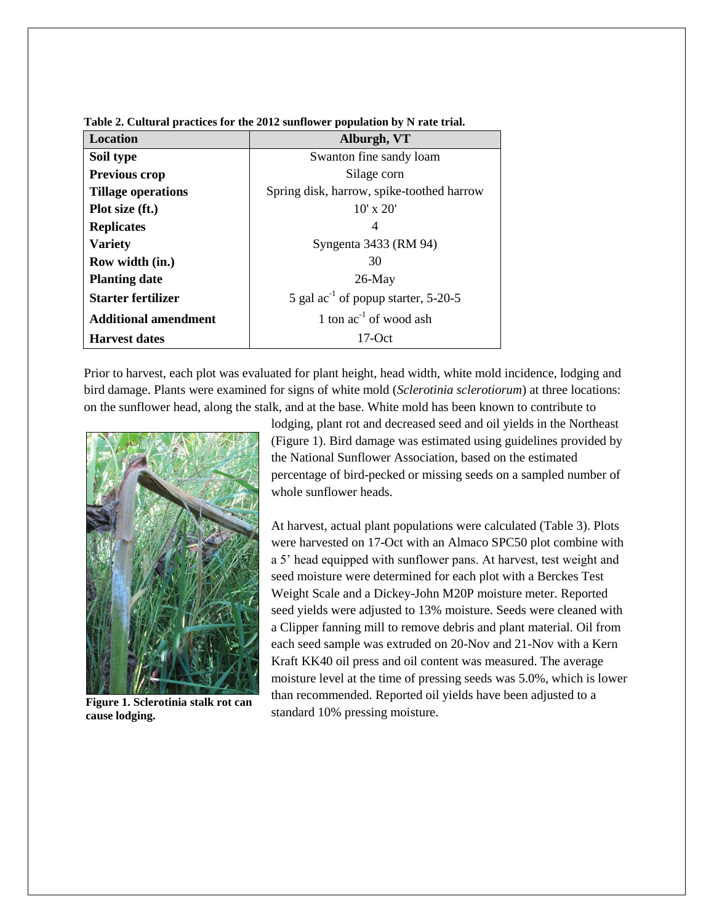| Location                    | Alburgh, VT                                     |
|-----------------------------|-------------------------------------------------|
| Soil type                   | Swanton fine sandy loam                         |
| <b>Previous crop</b>        | Silage corn                                     |
| <b>Tillage operations</b>   | Spring disk, harrow, spike-toothed harrow       |
| Plot size (ft.)             | $10'$ x $20'$                                   |
| <b>Replicates</b>           | 4                                               |
| <b>Variety</b>              | Syngenta 3433 (RM 94)                           |
| Row width (in.)             | 30                                              |
| <b>Planting date</b>        | $26$ -May                                       |
| <b>Starter fertilizer</b>   | 5 gal $\text{ac}^{-1}$ of popup starter, 5-20-5 |
| <b>Additional amendment</b> | 1 ton $ac^{-1}$ of wood ash                     |
| <b>Harvest dates</b>        | $17-Oct$                                        |

**Table 2. Cultural practices for the 2012 sunflower population by N rate trial.**

Prior to harvest, each plot was evaluated for plant height, head width, white mold incidence, lodging and bird damage. Plants were examined for signs of white mold (*Sclerotinia sclerotiorum*) at three locations: on the sunflower head, along the stalk, and at the base. White mold has been known to contribute to



**Figure 1. Sclerotinia stalk rot can cause lodging.**

lodging, plant rot and decreased seed and oil yields in the Northeast (Figure 1). Bird damage was estimated using guidelines provided by the National Sunflower Association, based on the estimated percentage of bird-pecked or missing seeds on a sampled number of whole sunflower heads.

At harvest, actual plant populations were calculated (Table 3). Plots were harvested on 17-Oct with an Almaco SPC50 plot combine with a 5' head equipped with sunflower pans. At harvest, test weight and seed moisture were determined for each plot with a Berckes Test Weight Scale and a Dickey-John M20P moisture meter. Reported seed yields were adjusted to 13% moisture. Seeds were cleaned with a Clipper fanning mill to remove debris and plant material. Oil from each seed sample was extruded on 20-Nov and 21-Nov with a Kern Kraft KK40 oil press and oil content was measured. The average moisture level at the time of pressing seeds was 5.0%, which is lower than recommended. Reported oil yields have been adjusted to a standard 10% pressing moisture.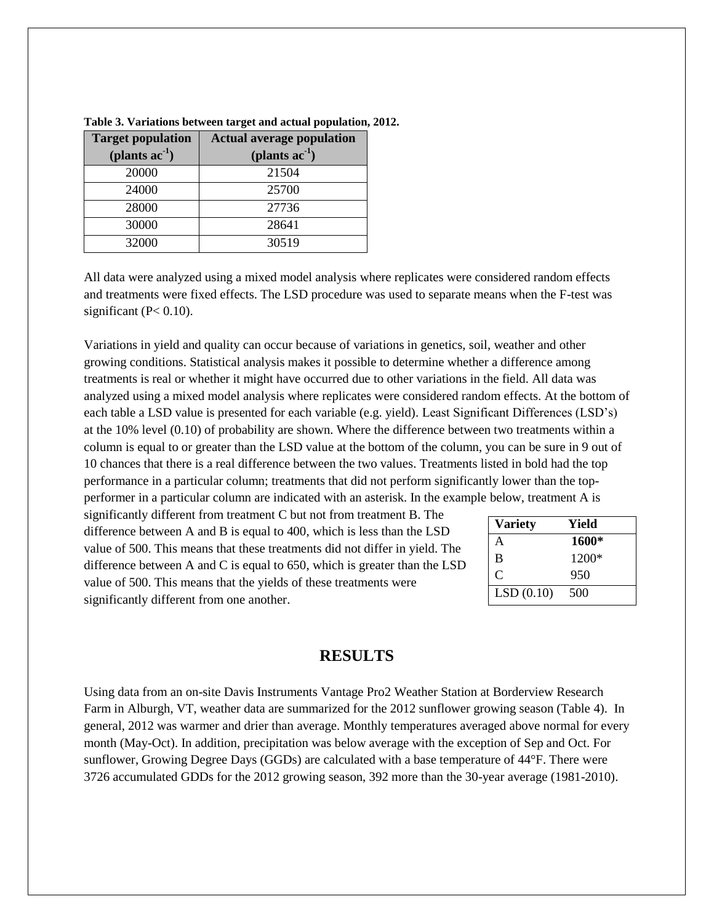| <b>Target population</b> | <b>Actual average population</b> |
|--------------------------|----------------------------------|
| (plants $ac^{-1}$ )      | (plants $ac^{-1}$ )              |
| 20000                    | 21504                            |
| 24000                    | 25700                            |
| 28000                    | 27736                            |
| 30000                    | 28641                            |
| 32000                    | 30519                            |

**Table 3. Variations between target and actual population, 2012.**

All data were analyzed using a mixed model analysis where replicates were considered random effects and treatments were fixed effects. The LSD procedure was used to separate means when the F-test was significant ( $P < 0.10$ ).

Variations in yield and quality can occur because of variations in genetics, soil, weather and other growing conditions. Statistical analysis makes it possible to determine whether a difference among treatments is real or whether it might have occurred due to other variations in the field. All data was analyzed using a mixed model analysis where replicates were considered random effects. At the bottom of each table a LSD value is presented for each variable (e.g. yield). Least Significant Differences (LSD's) at the 10% level (0.10) of probability are shown. Where the difference between two treatments within a column is equal to or greater than the LSD value at the bottom of the column, you can be sure in 9 out of 10 chances that there is a real difference between the two values. Treatments listed in bold had the top performance in a particular column; treatments that did not perform significantly lower than the topperformer in a particular column are indicated with an asterisk. In the example below, treatment A is

significantly different from treatment C but not from treatment B. The difference between A and B is equal to 400, which is less than the LSD value of 500. This means that these treatments did not differ in yield. The difference between A and C is equal to 650, which is greater than the LSD value of 500. This means that the yields of these treatments were significantly different from one another.

| <b>Variety</b> | Yield   |
|----------------|---------|
| А              | 1600*   |
| B              | $1200*$ |
| C              | 950     |
| LSD(0.10)      | 500     |

# **RESULTS**

Using data from an on-site Davis Instruments Vantage Pro2 Weather Station at Borderview Research Farm in Alburgh, VT, weather data are summarized for the 2012 sunflower growing season (Table 4). In general, 2012 was warmer and drier than average. Monthly temperatures averaged above normal for every month (May-Oct). In addition, precipitation was below average with the exception of Sep and Oct. For sunflower, Growing Degree Days (GGDs) are calculated with a base temperature of 44°F. There were 3726 accumulated GDDs for the 2012 growing season, 392 more than the 30-year average (1981-2010).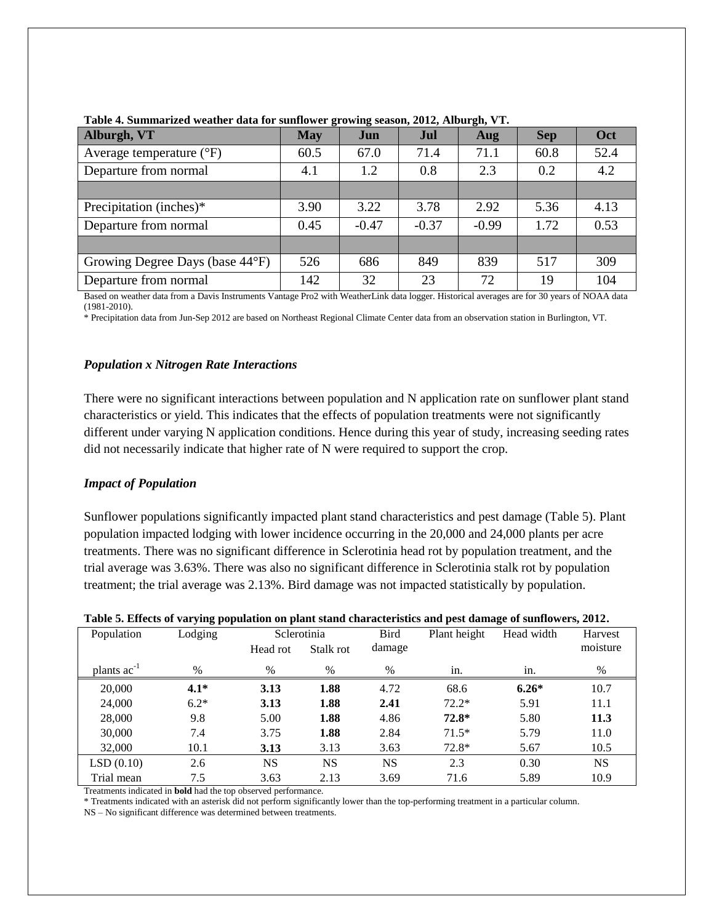| Alburgh, VT                       | <b>May</b> | Jun     | Jul     | Aug     | <b>Sep</b> | Oct  |
|-----------------------------------|------------|---------|---------|---------|------------|------|
| Average temperature $(^{\circ}F)$ | 60.5       | 67.0    | 71.4    | 71.1    | 60.8       | 52.4 |
| Departure from normal             | 4.1        | 1.2     | 0.8     | 2.3     | 0.2        | 4.2  |
|                                   |            |         |         |         |            |      |
| Precipitation (inches)*           | 3.90       | 3.22    | 3.78    | 2.92    | 5.36       | 4.13 |
| Departure from normal             | 0.45       | $-0.47$ | $-0.37$ | $-0.99$ | 1.72       | 0.53 |
|                                   |            |         |         |         |            |      |
| Growing Degree Days (base 44°F)   | 526        | 686     | 849     | 839     | 517        | 309  |
| Departure from normal             | 142        | 32      | 23      | 72      | 19         | 104  |

**Table 4. Summarized weather data for sunflower growing season, 2012, Alburgh, VT.**

Based on weather data from a Davis Instruments Vantage Pro2 with WeatherLink data logger. Historical averages are for 30 years of NOAA data (1981-2010).

\* Precipitation data from Jun-Sep 2012 are based on Northeast Regional Climate Center data from an observation station in Burlington, VT.

## *Population x Nitrogen Rate Interactions*

There were no significant interactions between population and N application rate on sunflower plant stand characteristics or yield. This indicates that the effects of population treatments were not significantly different under varying N application conditions. Hence during this year of study, increasing seeding rates did not necessarily indicate that higher rate of N were required to support the crop.

### *Impact of Population*

Sunflower populations significantly impacted plant stand characteristics and pest damage (Table 5). Plant population impacted lodging with lower incidence occurring in the 20,000 and 24,000 plants per acre treatments. There was no significant difference in Sclerotinia head rot by population treatment, and the trial average was 3.63%. There was also no significant difference in Sclerotinia stalk rot by population treatment; the trial average was 2.13%. Bird damage was not impacted statistically by population.

| Population       | Lodging |           | Sclerotinia | <b>Bird</b> | Plant height | Head width | Harvest   |
|------------------|---------|-----------|-------------|-------------|--------------|------------|-----------|
|                  |         | Head rot  | Stalk rot   | damage      |              |            | moisture  |
| plants $ac^{-1}$ | $\%$    | $\%$      | $\%$        | $\%$        | in.          | in.        | $\%$      |
| 20,000           | $4.1*$  | 3.13      | 1.88        | 4.72        | 68.6         | $6.26*$    | 10.7      |
| 24,000           | $6.2*$  | 3.13      | 1.88        | 2.41        | $72.2*$      | 5.91       | 11.1      |
| 28,000           | 9.8     | 5.00      | 1.88        | 4.86        | $72.8*$      | 5.80       | 11.3      |
| 30,000           | 7.4     | 3.75      | 1.88        | 2.84        | $71.5*$      | 5.79       | 11.0      |
| 32,000           | 10.1    | 3.13      | 3.13        | 3.63        | $72.8*$      | 5.67       | 10.5      |
| LSD(0.10)        | 2.6     | <b>NS</b> | <b>NS</b>   | <b>NS</b>   | 2.3          | 0.30       | <b>NS</b> |
| Trial mean       | 7.5     | 3.63      | 2.13        | 3.69        | 71.6         | 5.89       | 10.9      |

#### **Table 5. Effects of varying population on plant stand characteristics and pest damage of sunflowers, 2012.**

Treatments indicated in **bold** had the top observed performance.

\* Treatments indicated with an asterisk did not perform significantly lower than the top-performing treatment in a particular column.

NS – No significant difference was determined between treatments.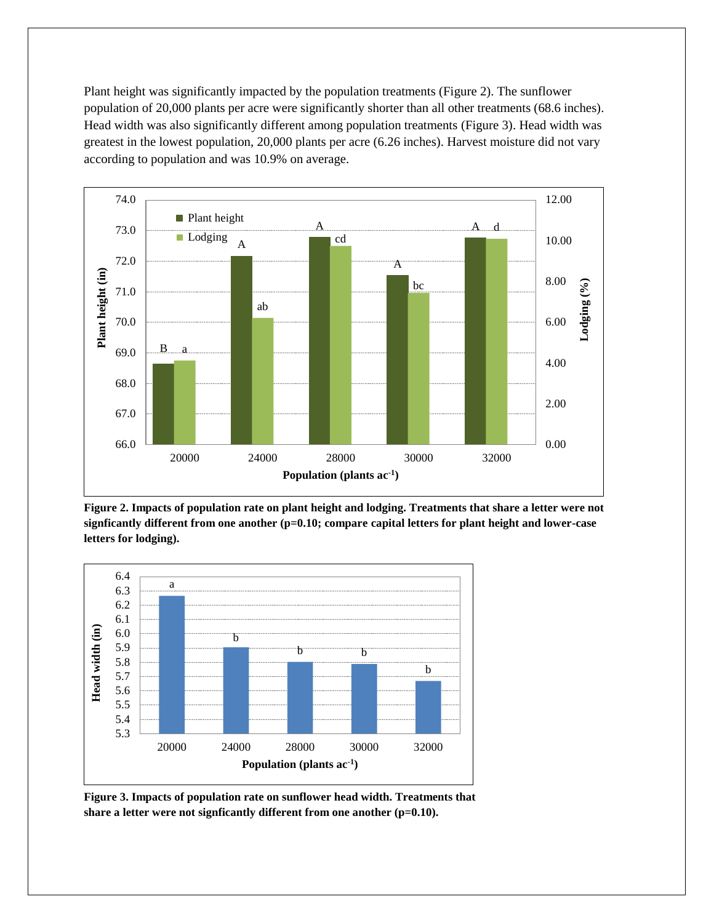Plant height was significantly impacted by the population treatments (Figure 2). The sunflower population of 20,000 plants per acre were significantly shorter than all other treatments (68.6 inches). Head width was also significantly different among population treatments (Figure 3). Head width was greatest in the lowest population, 20,000 plants per acre (6.26 inches). Harvest moisture did not vary according to population and was 10.9% on average.



**Figure 2. Impacts of population rate on plant height and lodging. Treatments that share a letter were not signficantly different from one another (p=0.10; compare capital letters for plant height and lower-case letters for lodging).**



**Figure 3. Impacts of population rate on sunflower head width. Treatments that share a letter were not signficantly different from one another (p=0.10).**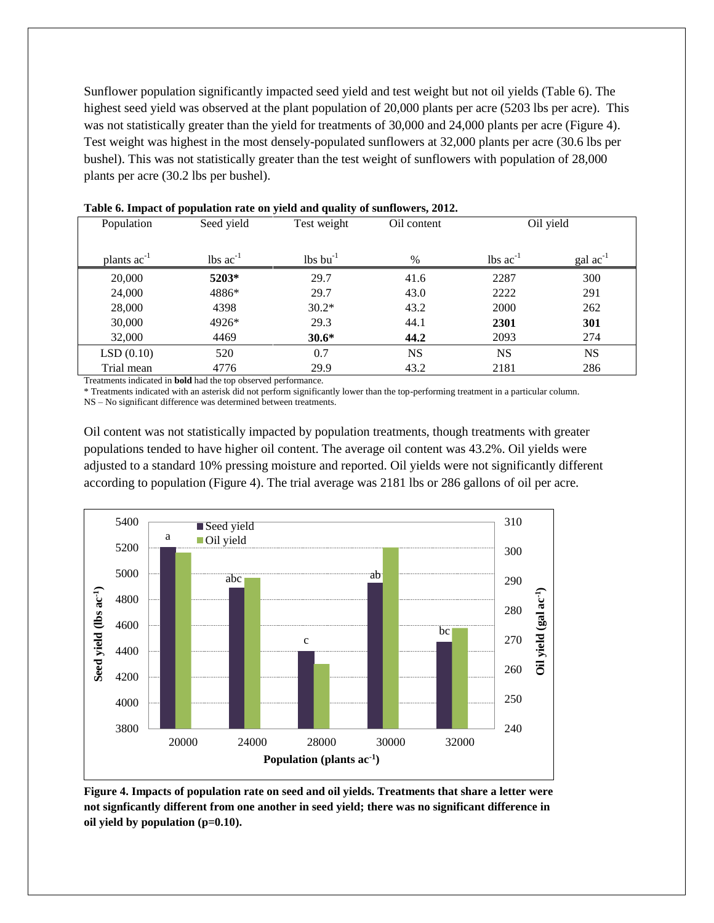Sunflower population significantly impacted seed yield and test weight but not oil yields (Table 6). The highest seed yield was observed at the plant population of 20,000 plants per acre (5203 lbs per acre). This was not statistically greater than the yield for treatments of 30,000 and 24,000 plants per acre (Figure 4). Test weight was highest in the most densely-populated sunflowers at 32,000 plants per acre (30.6 lbs per bushel). This was not statistically greater than the test weight of sunflowers with population of 28,000 plants per acre (30.2 lbs per bushel).

| Population       | Seed yield                    | Test weight                   | Oil content |                                | Oil yield            |
|------------------|-------------------------------|-------------------------------|-------------|--------------------------------|----------------------|
| plants $ac^{-1}$ | $\text{lbs}$ ac <sup>-1</sup> | $\text{lbs}$ bu <sup>-1</sup> | $\%$        | $\text{ lbs}$ ac <sup>-1</sup> | $\text{gal ac}^{-1}$ |
| 20,000           | 5203*                         | 29.7                          | 41.6        | 2287                           | 300                  |
| 24,000           | 4886*                         | 29.7                          | 43.0        | 2222                           | 291                  |
| 28,000           | 4398                          | $30.2*$                       | 43.2        | 2000                           | 262                  |
| 30,000           | 4926*                         | 29.3                          | 44.1        | 2301                           | 301                  |
| 32,000           | 4469                          | $30.6*$                       | 44.2        | 2093                           | 274                  |
| LSD(0.10)        | 520                           | 0.7                           | <b>NS</b>   | <b>NS</b>                      | <b>NS</b>            |
| Trial mean       | 4776                          | 29.9                          | 43.2        | 2181                           | 286                  |

**Table 6. Impact of population rate on yield and quality of sunflowers, 2012.**

Treatments indicated in **bold** had the top observed performance.

\* Treatments indicated with an asterisk did not perform significantly lower than the top-performing treatment in a particular column. NS – No significant difference was determined between treatments.

Oil content was not statistically impacted by population treatments, though treatments with greater populations tended to have higher oil content. The average oil content was 43.2%. Oil yields were adjusted to a standard 10% pressing moisture and reported. Oil yields were not significantly different according to population (Figure 4). The trial average was 2181 lbs or 286 gallons of oil per acre.



**Figure 4. Impacts of population rate on seed and oil yields. Treatments that share a letter were not signficantly different from one another in seed yield; there was no significant difference in oil yield by population (p=0.10).**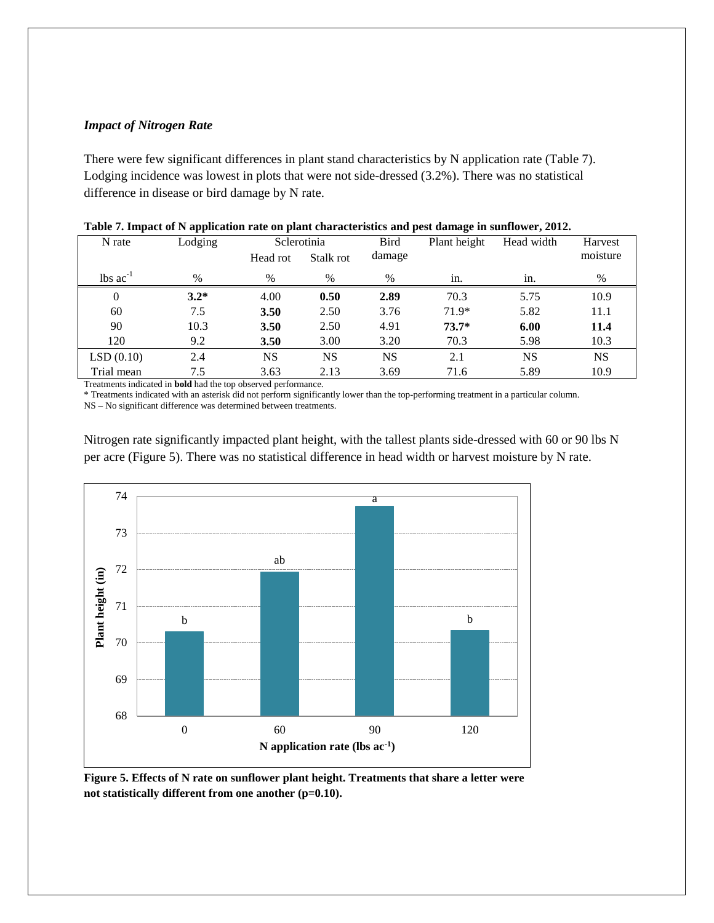## *Impact of Nitrogen Rate*

There were few significant differences in plant stand characteristics by N application rate (Table 7). Lodging incidence was lowest in plots that were not side-dressed (3.2%). There was no statistical difference in disease or bird damage by N rate.

| N rate                        | Lodging |           | Sclerotinia | <b>Bird</b> | Plant height | Head width | Harvest   |
|-------------------------------|---------|-----------|-------------|-------------|--------------|------------|-----------|
|                               |         | Head rot  | Stalk rot   | damage      |              |            | moisture  |
| $\text{lbs}$ ac <sup>-1</sup> | $\%$    | $\%$      | $\%$        | $\%$        | in.          | in.        | $\%$      |
| $\Omega$                      | $3.2*$  | 4.00      | 0.50        | 2.89        | 70.3         | 5.75       | 10.9      |
| 60                            | 7.5     | 3.50      | 2.50        | 3.76        | 71.9*        | 5.82       | 11.1      |
| 90                            | 10.3    | 3.50      | 2.50        | 4.91        | $73.7*$      | 6.00       | 11.4      |
| 120                           | 9.2     | 3.50      | 3.00        | 3.20        | 70.3         | 5.98       | 10.3      |
| LSD(0.10)                     | 2.4     | <b>NS</b> | NS.         | NS          | 2.1          | <b>NS</b>  | <b>NS</b> |
| Trial mean                    | 7.5     | 3.63      | 2.13        | 3.69        | 71.6         | 5.89       | 10.9      |

|  |  |  |  | Table 7. Impact of N application rate on plant characteristics and pest damage in sunflower, 2012. |  |  |  |  |
|--|--|--|--|----------------------------------------------------------------------------------------------------|--|--|--|--|
|--|--|--|--|----------------------------------------------------------------------------------------------------|--|--|--|--|

Treatments indicated in **bold** had the top observed performance.

\* Treatments indicated with an asterisk did not perform significantly lower than the top-performing treatment in a particular column.

NS – No significant difference was determined between treatments.

Nitrogen rate significantly impacted plant height, with the tallest plants side-dressed with 60 or 90 lbs N per acre (Figure 5). There was no statistical difference in head width or harvest moisture by N rate.



**Figure 5. Effects of N rate on sunflower plant height. Treatments that share a letter were not statistically different from one another (p=0.10).**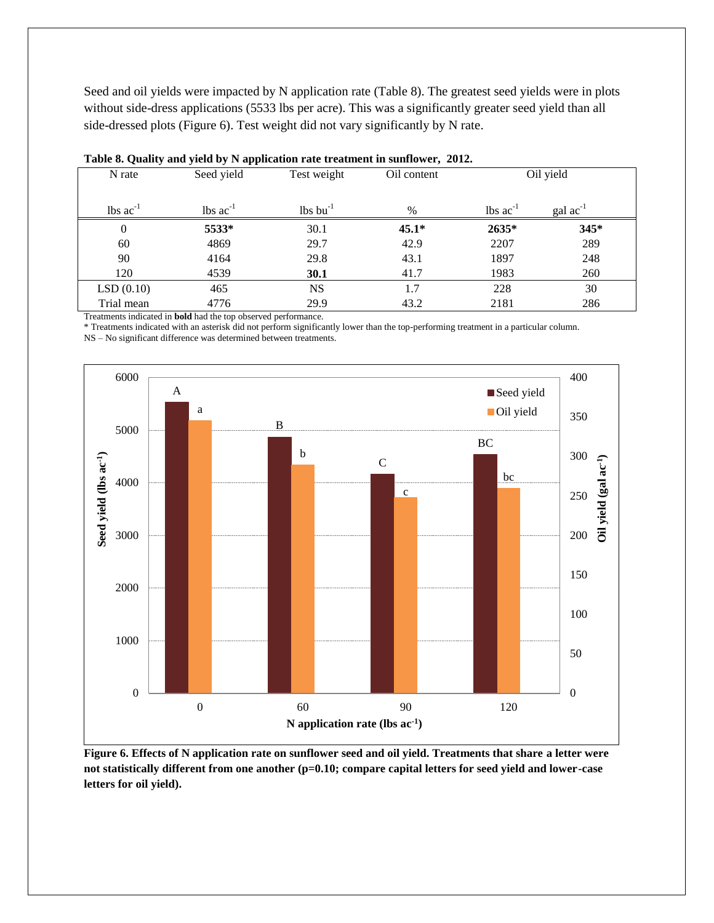Seed and oil yields were impacted by N application rate (Table 8). The greatest seed yields were in plots without side-dress applications (5533 lbs per acre). This was a significantly greater seed yield than all side-dressed plots (Figure 6). Test weight did not vary significantly by N rate.

| N rate                        | Seed yield                    | Test weight                        | Oil content |                               | Oil yield     |
|-------------------------------|-------------------------------|------------------------------------|-------------|-------------------------------|---------------|
| $\text{lbs}$ ac <sup>-1</sup> | $\text{lbs}$ ac <sup>-1</sup> | $\frac{1}{5}$ lbs bu <sup>-1</sup> | $\%$        | $\text{lbs}$ ac <sup>-1</sup> | gal $ac^{-1}$ |
| $\boldsymbol{0}$              | 5533*                         | 30.1                               | $45.1*$     | 2635*                         | 345*          |
| 60                            | 4869                          | 29.7                               | 42.9        | 2207                          | 289           |
| 90                            | 4164                          | 29.8                               | 43.1        | 1897                          | 248           |
| 120                           | 4539                          | 30.1                               | 41.7        | 1983                          | 260           |
| LSD(0.10)                     | 465                           | <b>NS</b>                          | 1.7         | 228                           | 30            |
| Trial mean                    | 4776                          | 29.9                               | 43.2        | 2181                          | 286           |

Treatments indicated in **bold** had the top observed performance.

\* Treatments indicated with an asterisk did not perform significantly lower than the top-performing treatment in a particular column. NS – No significant difference was determined between treatments.



**Figure 6. Effects of N application rate on sunflower seed and oil yield. Treatments that share a letter were not statistically different from one another (p=0.10; compare capital letters for seed yield and lower-case letters for oil yield).**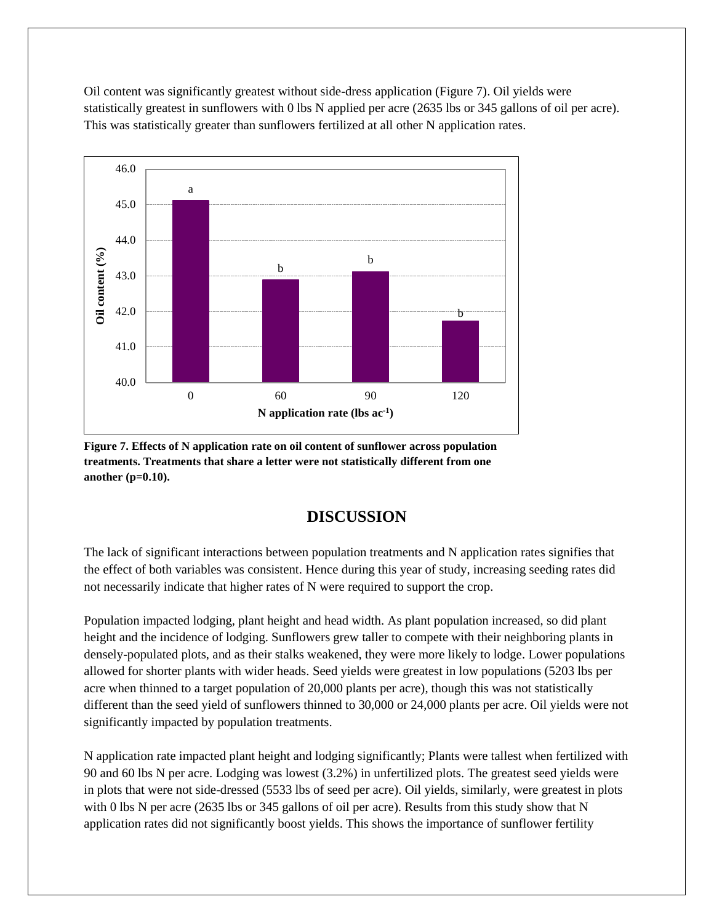Oil content was significantly greatest without side-dress application (Figure 7). Oil yields were statistically greatest in sunflowers with 0 lbs N applied per acre (2635 lbs or 345 gallons of oil per acre). This was statistically greater than sunflowers fertilized at all other N application rates.



**Figure 7. Effects of N application rate on oil content of sunflower across population treatments. Treatments that share a letter were not statistically different from one another (p=0.10).**

# **DISCUSSION**

The lack of significant interactions between population treatments and N application rates signifies that the effect of both variables was consistent. Hence during this year of study, increasing seeding rates did not necessarily indicate that higher rates of N were required to support the crop.

Population impacted lodging, plant height and head width. As plant population increased, so did plant height and the incidence of lodging. Sunflowers grew taller to compete with their neighboring plants in densely-populated plots, and as their stalks weakened, they were more likely to lodge. Lower populations allowed for shorter plants with wider heads. Seed yields were greatest in low populations (5203 lbs per acre when thinned to a target population of 20,000 plants per acre), though this was not statistically different than the seed yield of sunflowers thinned to 30,000 or 24,000 plants per acre. Oil yields were not significantly impacted by population treatments.

N application rate impacted plant height and lodging significantly; Plants were tallest when fertilized with 90 and 60 lbs N per acre. Lodging was lowest (3.2%) in unfertilized plots. The greatest seed yields were in plots that were not side-dressed (5533 lbs of seed per acre). Oil yields, similarly, were greatest in plots with 0 lbs N per acre (2635 lbs or 345 gallons of oil per acre). Results from this study show that N application rates did not significantly boost yields. This shows the importance of sunflower fertility